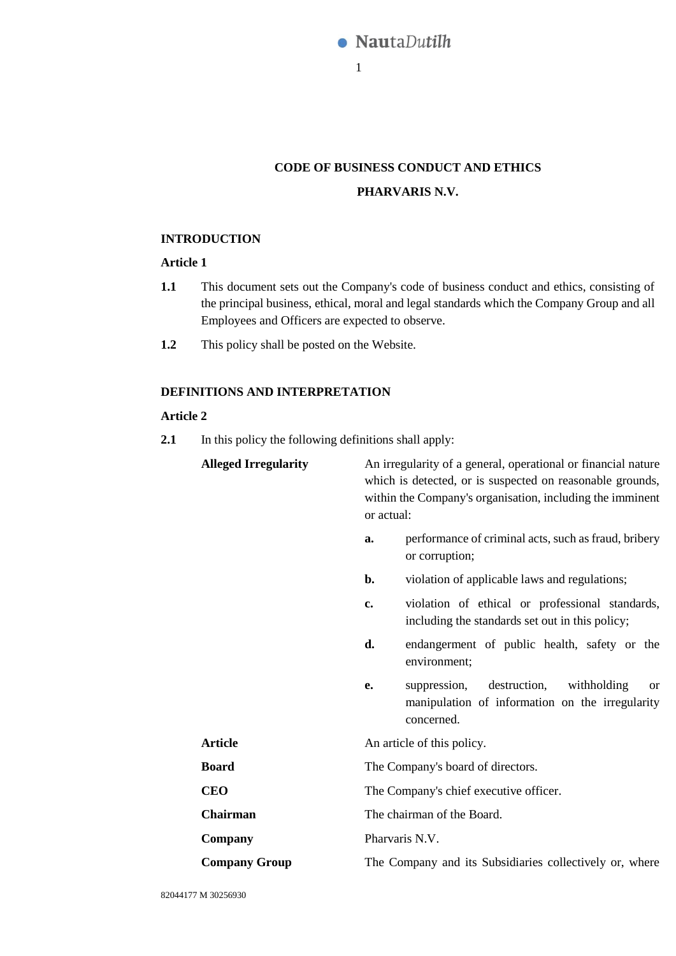

# **CODE OF BUSINESS CONDUCT AND ETHICS PHARVARIS N.V.**

# **INTRODUCTION**

# **Article 1**

- **1.1** This document sets out the Company's code of business conduct and ethics, consisting of the principal business, ethical, moral and legal standards which the Company Group and all Employees and Officers are expected to observe.
- **1.2** This policy shall be posted on the Website.

# **DEFINITIONS AND INTERPRETATION**

# **Article 2**

**2.1** In this policy the following definitions shall apply:

| <b>Alleged Irregularity</b> | An irregularity of a general, operational or financial nature<br>which is detected, or is suspected on reasonable grounds,<br>within the Company's organisation, including the imminent<br>or actual: |  |  |
|-----------------------------|-------------------------------------------------------------------------------------------------------------------------------------------------------------------------------------------------------|--|--|
|                             | performance of criminal acts, such as fraud, bribery<br>a.<br>or corruption;                                                                                                                          |  |  |
|                             | violation of applicable laws and regulations;<br>b.                                                                                                                                                   |  |  |
|                             | violation of ethical or professional standards,<br>c.<br>including the standards set out in this policy;                                                                                              |  |  |
|                             | endangerment of public health, safety or the<br>d.<br>environment;                                                                                                                                    |  |  |
|                             | destruction,<br>withholding<br>suppression,<br>e.<br><sub>or</sub><br>manipulation of information on the irregularity<br>concerned.                                                                   |  |  |
| <b>Article</b>              | An article of this policy.                                                                                                                                                                            |  |  |
| <b>Board</b>                | The Company's board of directors.                                                                                                                                                                     |  |  |
| <b>CEO</b>                  | The Company's chief executive officer.                                                                                                                                                                |  |  |
| <b>Chairman</b>             | The chairman of the Board.                                                                                                                                                                            |  |  |
| Company                     | Pharvaris N.V.                                                                                                                                                                                        |  |  |
| <b>Company Group</b>        | The Company and its Subsidiaries collectively or, where                                                                                                                                               |  |  |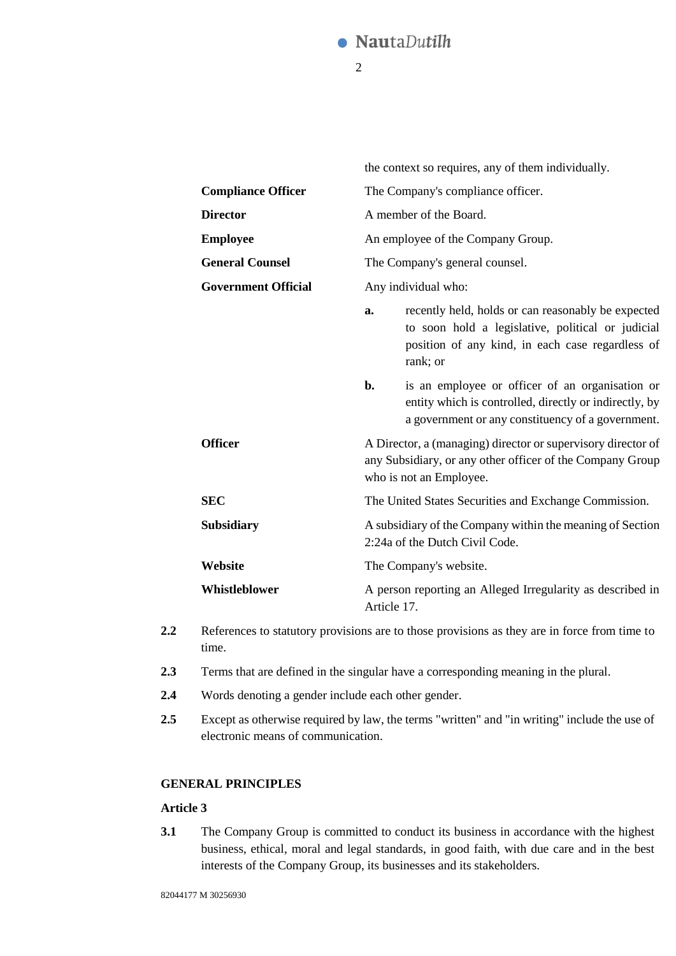#### **NautaDutilh** ſ

2

|                            | the context so requires, any of them individually.                                                                                                   |                                                                                                                                                                         |  |
|----------------------------|------------------------------------------------------------------------------------------------------------------------------------------------------|-------------------------------------------------------------------------------------------------------------------------------------------------------------------------|--|
| <b>Compliance Officer</b>  | The Company's compliance officer.                                                                                                                    |                                                                                                                                                                         |  |
| <b>Director</b>            | A member of the Board.                                                                                                                               |                                                                                                                                                                         |  |
| <b>Employee</b>            | An employee of the Company Group.<br>The Company's general counsel.                                                                                  |                                                                                                                                                                         |  |
| <b>General Counsel</b>     |                                                                                                                                                      |                                                                                                                                                                         |  |
| <b>Government Official</b> | Any individual who:                                                                                                                                  |                                                                                                                                                                         |  |
|                            | a.                                                                                                                                                   | recently held, holds or can reasonably be expected<br>to soon hold a legislative, political or judicial<br>position of any kind, in each case regardless of<br>rank; or |  |
|                            | $\mathbf{b}$ .                                                                                                                                       | is an employee or officer of an organisation or<br>entity which is controlled, directly or indirectly, by<br>a government or any constituency of a government.          |  |
| <b>Officer</b>             | A Director, a (managing) director or supervisory director of<br>any Subsidiary, or any other officer of the Company Group<br>who is not an Employee. |                                                                                                                                                                         |  |
| <b>SEC</b>                 | The United States Securities and Exchange Commission.                                                                                                |                                                                                                                                                                         |  |
| <b>Subsidiary</b>          | A subsidiary of the Company within the meaning of Section<br>2:24a of the Dutch Civil Code.                                                          |                                                                                                                                                                         |  |
| Website                    | The Company's website.                                                                                                                               |                                                                                                                                                                         |  |
| Whistleblower              | Article 17.                                                                                                                                          | A person reporting an Alleged Irregularity as described in                                                                                                              |  |
|                            |                                                                                                                                                      |                                                                                                                                                                         |  |

- **2.2** References to statutory provisions are to those provisions as they are in force from time to time.
- **2.3** Terms that are defined in the singular have a corresponding meaning in the plural.
- **2.4** Words denoting a gender include each other gender.
- **2.5** Except as otherwise required by law, the terms "written" and "in writing" include the use of electronic means of communication.

# **GENERAL PRINCIPLES**

# **Article 3**

**3.1** The Company Group is committed to conduct its business in accordance with the highest business, ethical, moral and legal standards, in good faith, with due care and in the best interests of the Company Group, its businesses and its stakeholders.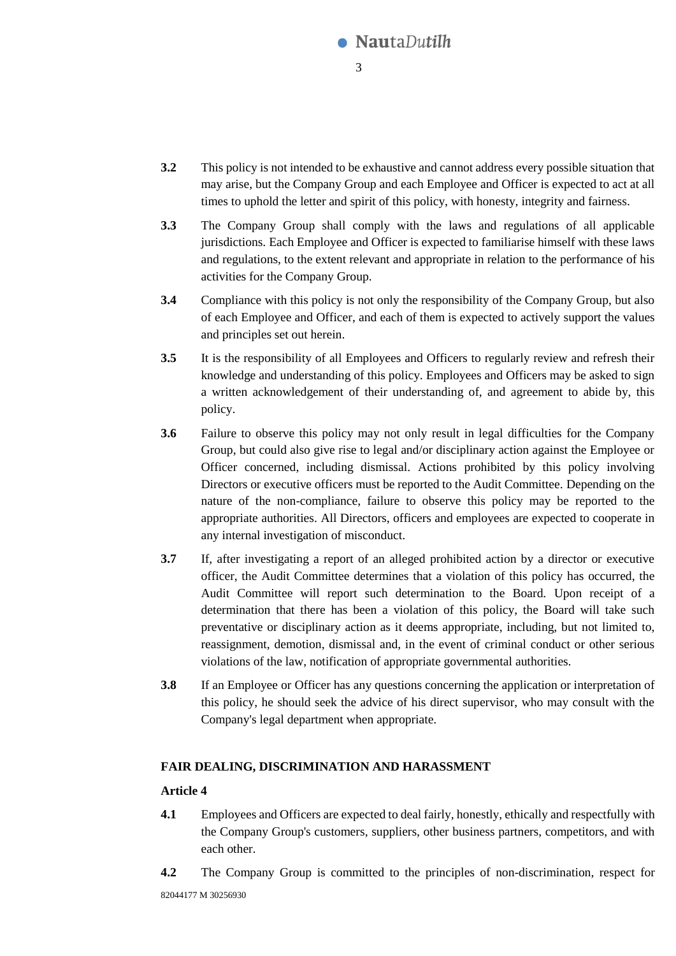

- **3.2** This policy is not intended to be exhaustive and cannot address every possible situation that may arise, but the Company Group and each Employee and Officer is expected to act at all times to uphold the letter and spirit of this policy, with honesty, integrity and fairness.
- **3.3** The Company Group shall comply with the laws and regulations of all applicable jurisdictions. Each Employee and Officer is expected to familiarise himself with these laws and regulations, to the extent relevant and appropriate in relation to the performance of his activities for the Company Group.
- **3.4** Compliance with this policy is not only the responsibility of the Company Group, but also of each Employee and Officer, and each of them is expected to actively support the values and principles set out herein.
- **3.5** It is the responsibility of all Employees and Officers to regularly review and refresh their knowledge and understanding of this policy. Employees and Officers may be asked to sign a written acknowledgement of their understanding of, and agreement to abide by, this policy.
- **3.6** Failure to observe this policy may not only result in legal difficulties for the Company Group, but could also give rise to legal and/or disciplinary action against the Employee or Officer concerned, including dismissal. Actions prohibited by this policy involving Directors or executive officers must be reported to the Audit Committee. Depending on the nature of the non-compliance, failure to observe this policy may be reported to the appropriate authorities. All Directors, officers and employees are expected to cooperate in any internal investigation of misconduct.
- **3.7** If, after investigating a report of an alleged prohibited action by a director or executive officer, the Audit Committee determines that a violation of this policy has occurred, the Audit Committee will report such determination to the Board. Upon receipt of a determination that there has been a violation of this policy, the Board will take such preventative or disciplinary action as it deems appropriate, including, but not limited to, reassignment, demotion, dismissal and, in the event of criminal conduct or other serious violations of the law, notification of appropriate governmental authorities.
- **3.8** If an Employee or Officer has any questions concerning the application or interpretation of this policy, he should seek the advice of his direct supervisor, who may consult with the Company's legal department when appropriate.

# **FAIR DEALING, DISCRIMINATION AND HARASSMENT**

- **4.1** Employees and Officers are expected to deal fairly, honestly, ethically and respectfully with the Company Group's customers, suppliers, other business partners, competitors, and with each other.
- **4.2** The Company Group is committed to the principles of non-discrimination, respect for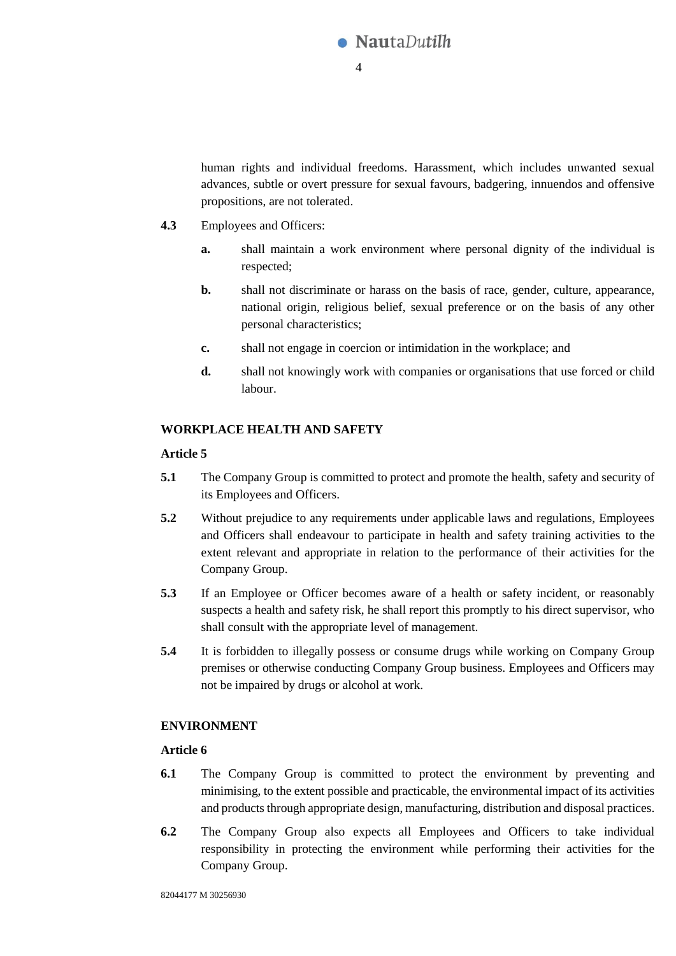

human rights and individual freedoms. Harassment, which includes unwanted sexual advances, subtle or overt pressure for sexual favours, badgering, innuendos and offensive propositions, are not tolerated.

- **4.3** Employees and Officers:
	- **a.** shall maintain a work environment where personal dignity of the individual is respected;
	- **b.** shall not discriminate or harass on the basis of race, gender, culture, appearance, national origin, religious belief, sexual preference or on the basis of any other personal characteristics;
	- **c.** shall not engage in coercion or intimidation in the workplace; and
	- **d.** shall not knowingly work with companies or organisations that use forced or child labour.

# **WORKPLACE HEALTH AND SAFETY**

# **Article 5**

- **5.1** The Company Group is committed to protect and promote the health, safety and security of its Employees and Officers.
- **5.2** Without prejudice to any requirements under applicable laws and regulations, Employees and Officers shall endeavour to participate in health and safety training activities to the extent relevant and appropriate in relation to the performance of their activities for the Company Group.
- **5.3** If an Employee or Officer becomes aware of a health or safety incident, or reasonably suspects a health and safety risk, he shall report this promptly to his direct supervisor, who shall consult with the appropriate level of management.
- **5.4** It is forbidden to illegally possess or consume drugs while working on Company Group premises or otherwise conducting Company Group business. Employees and Officers may not be impaired by drugs or alcohol at work.

# **ENVIRONMENT**

- **6.1** The Company Group is committed to protect the environment by preventing and minimising, to the extent possible and practicable, the environmental impact of its activities and products through appropriate design, manufacturing, distribution and disposal practices.
- **6.2** The Company Group also expects all Employees and Officers to take individual responsibility in protecting the environment while performing their activities for the Company Group.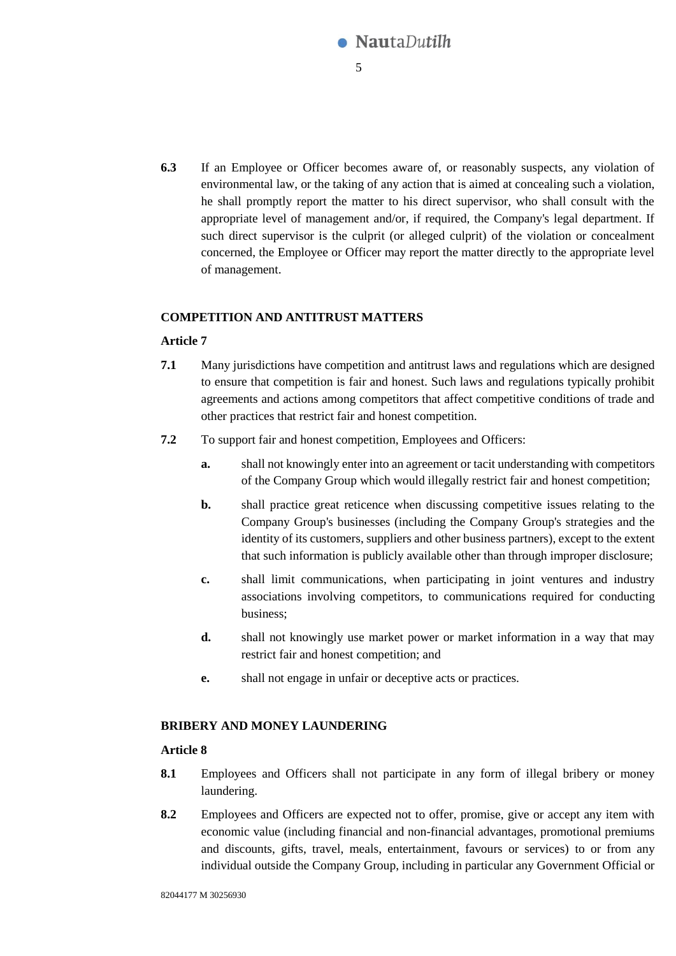

**6.3** If an Employee or Officer becomes aware of, or reasonably suspects, any violation of environmental law, or the taking of any action that is aimed at concealing such a violation, he shall promptly report the matter to his direct supervisor, who shall consult with the appropriate level of management and/or, if required, the Company's legal department. If such direct supervisor is the culprit (or alleged culprit) of the violation or concealment concerned, the Employee or Officer may report the matter directly to the appropriate level of management.

# **COMPETITION AND ANTITRUST MATTERS**

# **Article 7**

- **7.1** Many jurisdictions have competition and antitrust laws and regulations which are designed to ensure that competition is fair and honest. Such laws and regulations typically prohibit agreements and actions among competitors that affect competitive conditions of trade and other practices that restrict fair and honest competition.
- **7.2** To support fair and honest competition, Employees and Officers:
	- **a.** shall not knowingly enter into an agreement or tacit understanding with competitors of the Company Group which would illegally restrict fair and honest competition;
	- **b.** shall practice great reticence when discussing competitive issues relating to the Company Group's businesses (including the Company Group's strategies and the identity of its customers, suppliers and other business partners), except to the extent that such information is publicly available other than through improper disclosure;
	- **c.** shall limit communications, when participating in joint ventures and industry associations involving competitors, to communications required for conducting business;
	- **d.** shall not knowingly use market power or market information in a way that may restrict fair and honest competition; and
	- **e.** shall not engage in unfair or deceptive acts or practices.

# **BRIBERY AND MONEY LAUNDERING**

- **8.1** Employees and Officers shall not participate in any form of illegal bribery or money laundering.
- **8.2** Employees and Officers are expected not to offer, promise, give or accept any item with economic value (including financial and non-financial advantages, promotional premiums and discounts, gifts, travel, meals, entertainment, favours or services) to or from any individual outside the Company Group, including in particular any Government Official or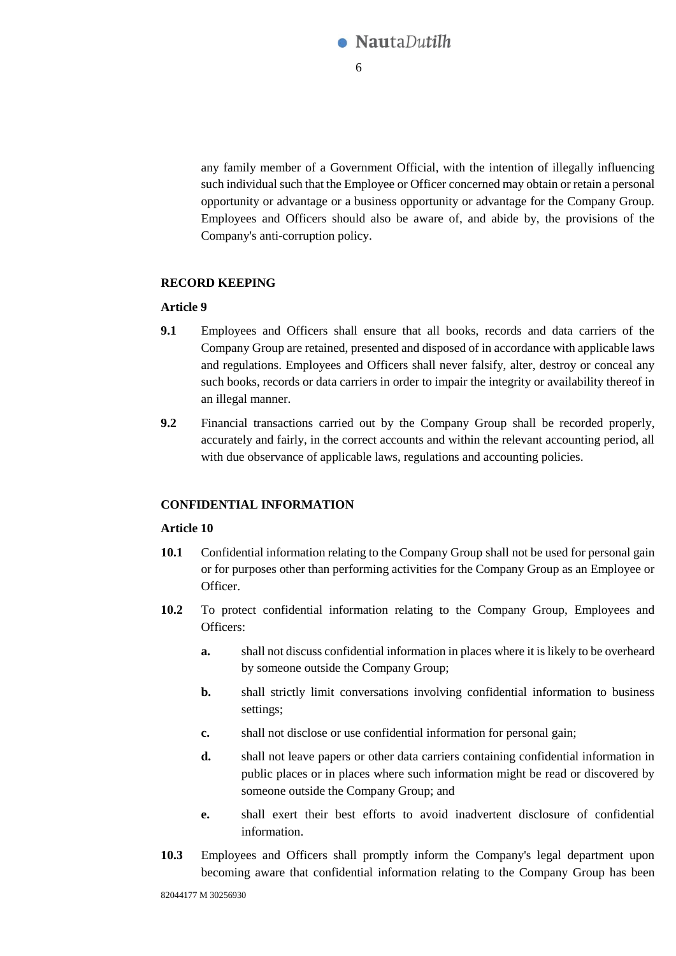

any family member of a Government Official, with the intention of illegally influencing such individual such that the Employee or Officer concerned may obtain or retain a personal opportunity or advantage or a business opportunity or advantage for the Company Group. Employees and Officers should also be aware of, and abide by, the provisions of the Company's anti-corruption policy.

### **RECORD KEEPING**

### **Article 9**

- **9.1** Employees and Officers shall ensure that all books, records and data carriers of the Company Group are retained, presented and disposed of in accordance with applicable laws and regulations. Employees and Officers shall never falsify, alter, destroy or conceal any such books, records or data carriers in order to impair the integrity or availability thereof in an illegal manner.
- **9.2** Financial transactions carried out by the Company Group shall be recorded properly, accurately and fairly, in the correct accounts and within the relevant accounting period, all with due observance of applicable laws, regulations and accounting policies.

### <span id="page-5-0"></span>**CONFIDENTIAL INFORMATION**

- **10.1** Confidential information relating to the Company Group shall not be used for personal gain or for purposes other than performing activities for the Company Group as an Employee or Officer.
- **10.2** To protect confidential information relating to the Company Group, Employees and Officers:
	- **a.** shall not discuss confidential information in places where it is likely to be overheard by someone outside the Company Group;
	- **b.** shall strictly limit conversations involving confidential information to business settings;
	- **c.** shall not disclose or use confidential information for personal gain;
	- **d.** shall not leave papers or other data carriers containing confidential information in public places or in places where such information might be read or discovered by someone outside the Company Group; and
	- **e.** shall exert their best efforts to avoid inadvertent disclosure of confidential information.
- **10.3** Employees and Officers shall promptly inform the Company's legal department upon becoming aware that confidential information relating to the Company Group has been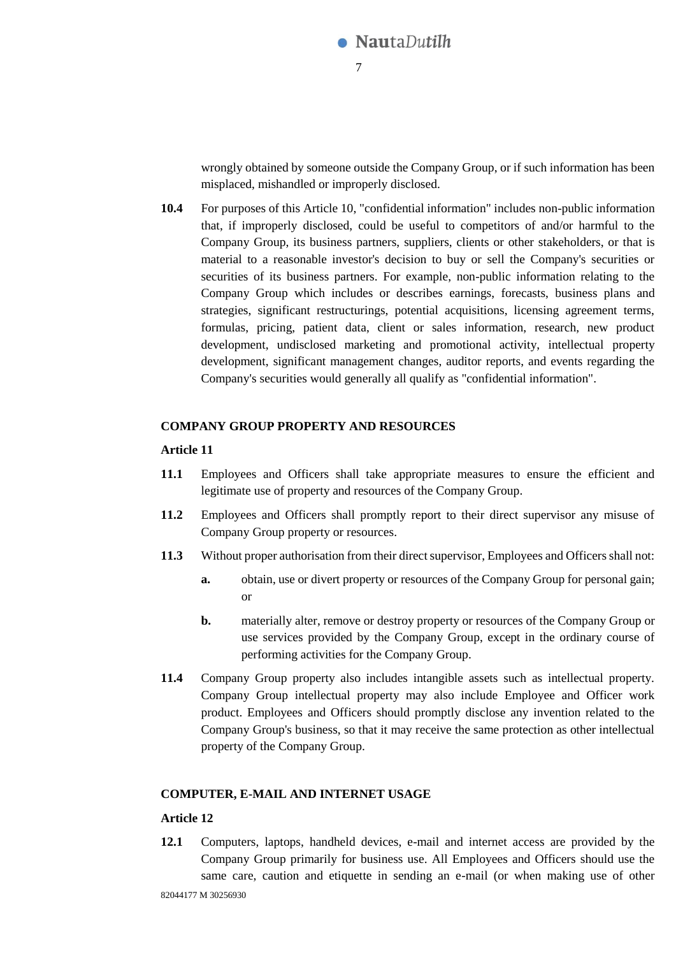

wrongly obtained by someone outside the Company Group, or if such information has been misplaced, mishandled or improperly disclosed.

**10.4** For purposes of this [Article 10,](#page-5-0) "confidential information" includes non-public information that, if improperly disclosed, could be useful to competitors of and/or harmful to the Company Group, its business partners, suppliers, clients or other stakeholders, or that is material to a reasonable investor's decision to buy or sell the Company's securities or securities of its business partners. For example, non-public information relating to the Company Group which includes or describes earnings, forecasts, business plans and strategies, significant restructurings, potential acquisitions, licensing agreement terms, formulas, pricing, patient data, client or sales information, research, new product development, undisclosed marketing and promotional activity, intellectual property development, significant management changes, auditor reports, and events regarding the Company's securities would generally all qualify as "confidential information".

### **COMPANY GROUP PROPERTY AND RESOURCES**

#### **Article 11**

- **11.1** Employees and Officers shall take appropriate measures to ensure the efficient and legitimate use of property and resources of the Company Group.
- **11.2** Employees and Officers shall promptly report to their direct supervisor any misuse of Company Group property or resources.
- **11.3** Without proper authorisation from their direct supervisor, Employees and Officers shall not:
	- **a.** obtain, use or divert property or resources of the Company Group for personal gain; or
	- **b.** materially alter, remove or destroy property or resources of the Company Group or use services provided by the Company Group, except in the ordinary course of performing activities for the Company Group.
- **11.4** Company Group property also includes intangible assets such as intellectual property. Company Group intellectual property may also include Employee and Officer work product. Employees and Officers should promptly disclose any invention related to the Company Group's business, so that it may receive the same protection as other intellectual property of the Company Group.

#### **COMPUTER, E-MAIL AND INTERNET USAGE**

#### **Article 12**

**12.1** Computers, laptops, handheld devices, e-mail and internet access are provided by the Company Group primarily for business use. All Employees and Officers should use the same care, caution and etiquette in sending an e-mail (or when making use of other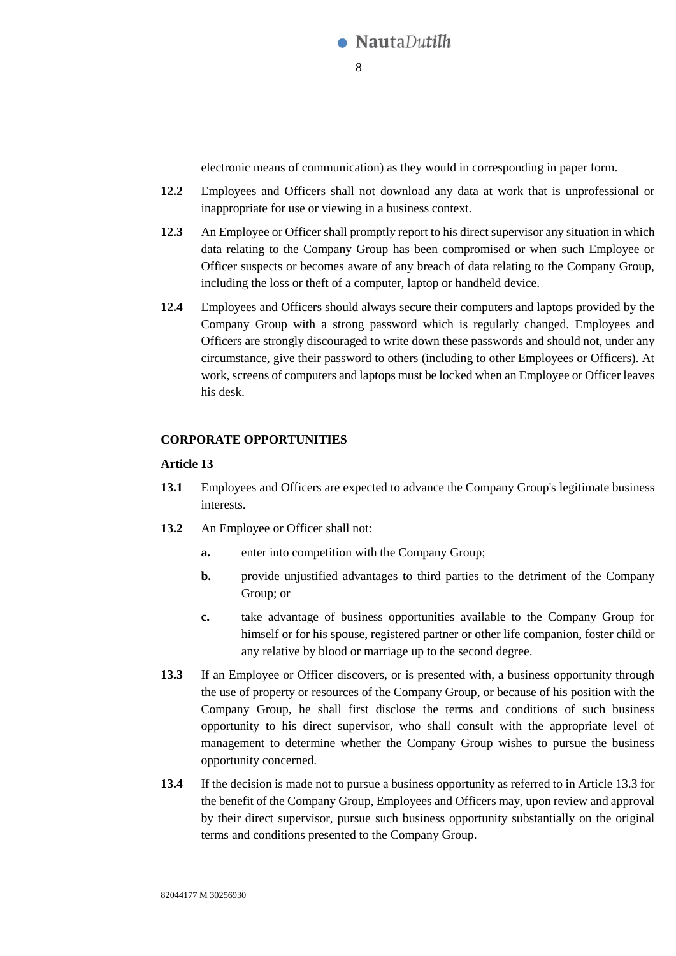

electronic means of communication) as they would in corresponding in paper form.

- **12.2** Employees and Officers shall not download any data at work that is unprofessional or inappropriate for use or viewing in a business context.
- **12.3** An Employee or Officer shall promptly report to his direct supervisor any situation in which data relating to the Company Group has been compromised or when such Employee or Officer suspects or becomes aware of any breach of data relating to the Company Group, including the loss or theft of a computer, laptop or handheld device.
- **12.4** Employees and Officers should always secure their computers and laptops provided by the Company Group with a strong password which is regularly changed. Employees and Officers are strongly discouraged to write down these passwords and should not, under any circumstance, give their password to others (including to other Employees or Officers). At work, screens of computers and laptops must be locked when an Employee or Officer leaves his desk.

# **CORPORATE OPPORTUNITIES**

- **13.1** Employees and Officers are expected to advance the Company Group's legitimate business interests.
- 13.2 An Employee or Officer shall not:
	- **a.** enter into competition with the Company Group;
	- **b.** provide unjustified advantages to third parties to the detriment of the Company Group; or
	- **c.** take advantage of business opportunities available to the Company Group for himself or for his spouse, registered partner or other life companion, foster child or any relative by blood or marriage up to the second degree.
- <span id="page-7-0"></span>**13.3** If an Employee or Officer discovers, or is presented with, a business opportunity through the use of property or resources of the Company Group, or because of his position with the Company Group, he shall first disclose the terms and conditions of such business opportunity to his direct supervisor, who shall consult with the appropriate level of management to determine whether the Company Group wishes to pursue the business opportunity concerned.
- **13.4** If the decision is made not to pursue a business opportunity as referred to in Article [13.3](#page-7-0) for the benefit of the Company Group, Employees and Officers may, upon review and approval by their direct supervisor, pursue such business opportunity substantially on the original terms and conditions presented to the Company Group.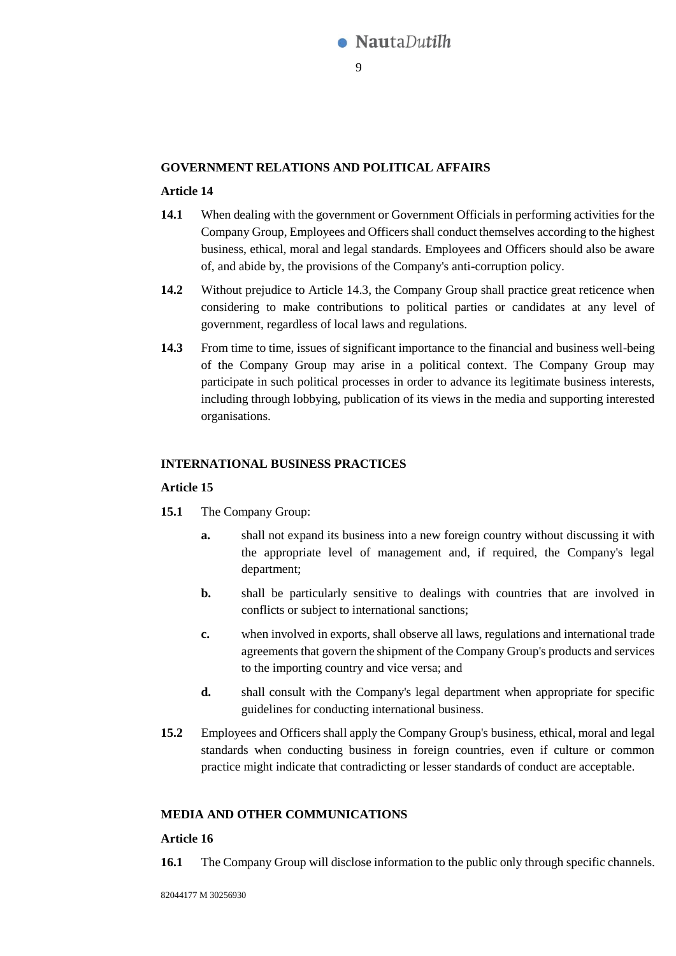

### **GOVERNMENT RELATIONS AND POLITICAL AFFAIRS**

### **Article 14**

- **14.1** When dealing with the government or Government Officials in performing activities for the Company Group, Employees and Officers shall conduct themselves according to the highest business, ethical, moral and legal standards. Employees and Officers should also be aware of, and abide by, the provisions of the Company's anti-corruption policy.
- **14.2** Without prejudice to Article [14.3,](#page-8-0) the Company Group shall practice great reticence when considering to make contributions to political parties or candidates at any level of government, regardless of local laws and regulations.
- <span id="page-8-0"></span>**14.3** From time to time, issues of significant importance to the financial and business well-being of the Company Group may arise in a political context. The Company Group may participate in such political processes in order to advance its legitimate business interests, including through lobbying, publication of its views in the media and supporting interested organisations.

### **INTERNATIONAL BUSINESS PRACTICES**

#### **Article 15**

- **15.1** The Company Group:
	- **a.** shall not expand its business into a new foreign country without discussing it with the appropriate level of management and, if required, the Company's legal department;
	- **b.** shall be particularly sensitive to dealings with countries that are involved in conflicts or subject to international sanctions;
	- **c.** when involved in exports, shall observe all laws, regulations and international trade agreements that govern the shipment of the Company Group's products and services to the importing country and vice versa; and
	- **d.** shall consult with the Company's legal department when appropriate for specific guidelines for conducting international business.
- **15.2** Employees and Officers shall apply the Company Group's business, ethical, moral and legal standards when conducting business in foreign countries, even if culture or common practice might indicate that contradicting or lesser standards of conduct are acceptable.

# **MEDIA AND OTHER COMMUNICATIONS**

### **Article 16**

**16.1** The Company Group will disclose information to the public only through specific channels.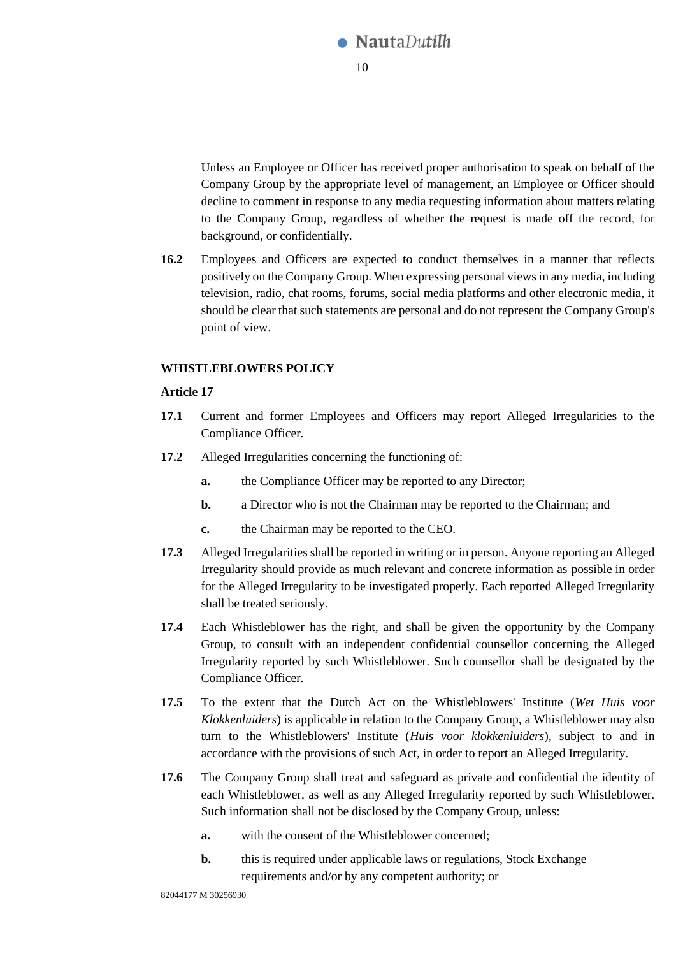

Unless an Employee or Officer has received proper authorisation to speak on behalf of the Company Group by the appropriate level of management, an Employee or Officer should decline to comment in response to any media requesting information about matters relating to the Company Group, regardless of whether the request is made off the record, for background, or confidentially.

**16.2** Employees and Officers are expected to conduct themselves in a manner that reflects positively on the Company Group. When expressing personal views in any media, including television, radio, chat rooms, forums, social media platforms and other electronic media, it should be clear that such statements are personal and do not represent the Company Group's point of view.

# <span id="page-9-0"></span>**WHISTLEBLOWERS POLICY**

- **17.1** Current and former Employees and Officers may report Alleged Irregularities to the Compliance Officer.
- **17.2** Alleged Irregularities concerning the functioning of:
	- **a.** the Compliance Officer may be reported to any Director;
	- **b.** a Director who is not the Chairman may be reported to the Chairman; and
	- **c.** the Chairman may be reported to the CEO.
- **17.3** Alleged Irregularities shall be reported in writing or in person. Anyone reporting an Alleged Irregularity should provide as much relevant and concrete information as possible in order for the Alleged Irregularity to be investigated properly. Each reported Alleged Irregularity shall be treated seriously.
- **17.4** Each Whistleblower has the right, and shall be given the opportunity by the Company Group, to consult with an independent confidential counsellor concerning the Alleged Irregularity reported by such Whistleblower. Such counsellor shall be designated by the Compliance Officer.
- **17.5** To the extent that the Dutch Act on the Whistleblowers' Institute (*Wet Huis voor Klokkenluiders*) is applicable in relation to the Company Group, a Whistleblower may also turn to the Whistleblowers' Institute (*Huis voor klokkenluiders*), subject to and in accordance with the provisions of such Act, in order to report an Alleged Irregularity.
- **17.6** The Company Group shall treat and safeguard as private and confidential the identity of each Whistleblower, as well as any Alleged Irregularity reported by such Whistleblower. Such information shall not be disclosed by the Company Group, unless:
	- **a.** with the consent of the Whistleblower concerned;
	- **b.** this is required under applicable laws or regulations, Stock Exchange requirements and/or by any competent authority; or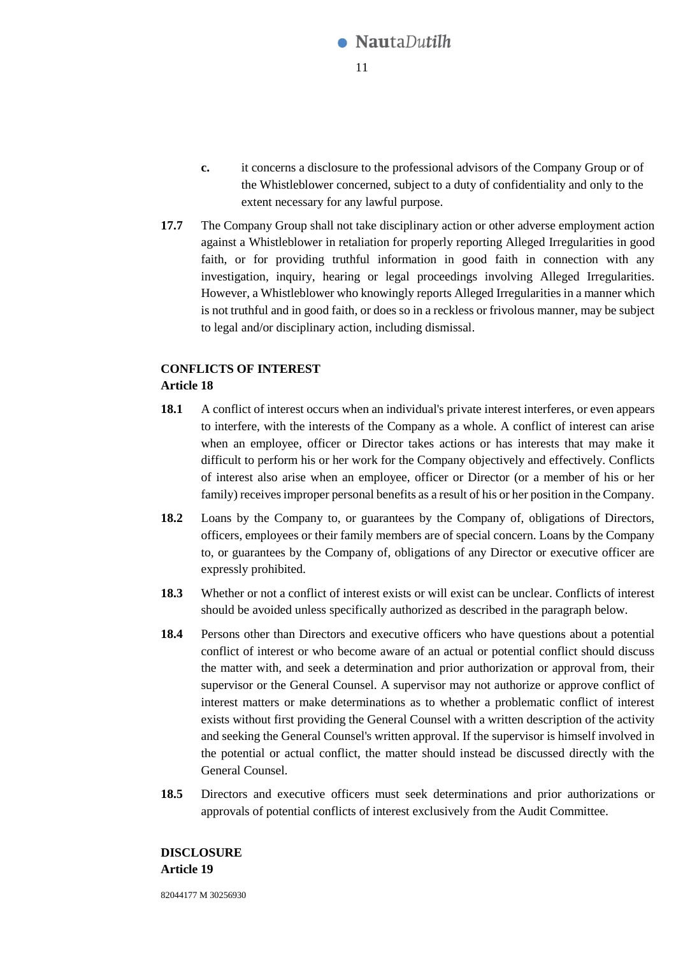

- **c.** it concerns a disclosure to the professional advisors of the Company Group or of the Whistleblower concerned, subject to a duty of confidentiality and only to the extent necessary for any lawful purpose.
- **17.7** The Company Group shall not take disciplinary action or other adverse employment action against a Whistleblower in retaliation for properly reporting Alleged Irregularities in good faith, or for providing truthful information in good faith in connection with any investigation, inquiry, hearing or legal proceedings involving Alleged Irregularities. However, a Whistleblower who knowingly reports Alleged Irregularities in a manner which is not truthful and in good faith, or does so in a reckless or frivolous manner, may be subject to legal and/or disciplinary action, including dismissal.

# **CONFLICTS OF INTEREST Article 18**

- **18.1** A conflict of interest occurs when an individual's private interest interferes, or even appears to interfere, with the interests of the Company as a whole. A conflict of interest can arise when an employee, officer or Director takes actions or has interests that may make it difficult to perform his or her work for the Company objectively and effectively. Conflicts of interest also arise when an employee, officer or Director (or a member of his or her family) receives improper personal benefits as a result of his or her position in the Company.
- **18.2** Loans by the Company to, or guarantees by the Company of, obligations of Directors, officers, employees or their family members are of special concern. Loans by the Company to, or guarantees by the Company of, obligations of any Director or executive officer are expressly prohibited.
- **18.3** Whether or not a conflict of interest exists or will exist can be unclear. Conflicts of interest should be avoided unless specifically authorized as described in the paragraph below.
- **18.4** Persons other than Directors and executive officers who have questions about a potential conflict of interest or who become aware of an actual or potential conflict should discuss the matter with, and seek a determination and prior authorization or approval from, their supervisor or the General Counsel. A supervisor may not authorize or approve conflict of interest matters or make determinations as to whether a problematic conflict of interest exists without first providing the General Counsel with a written description of the activity and seeking the General Counsel's written approval. If the supervisor is himself involved in the potential or actual conflict, the matter should instead be discussed directly with the General Counsel.
- **18.5** Directors and executive officers must seek determinations and prior authorizations or approvals of potential conflicts of interest exclusively from the Audit Committee.

**DISCLOSURE Article 19**

82044177 M 30256930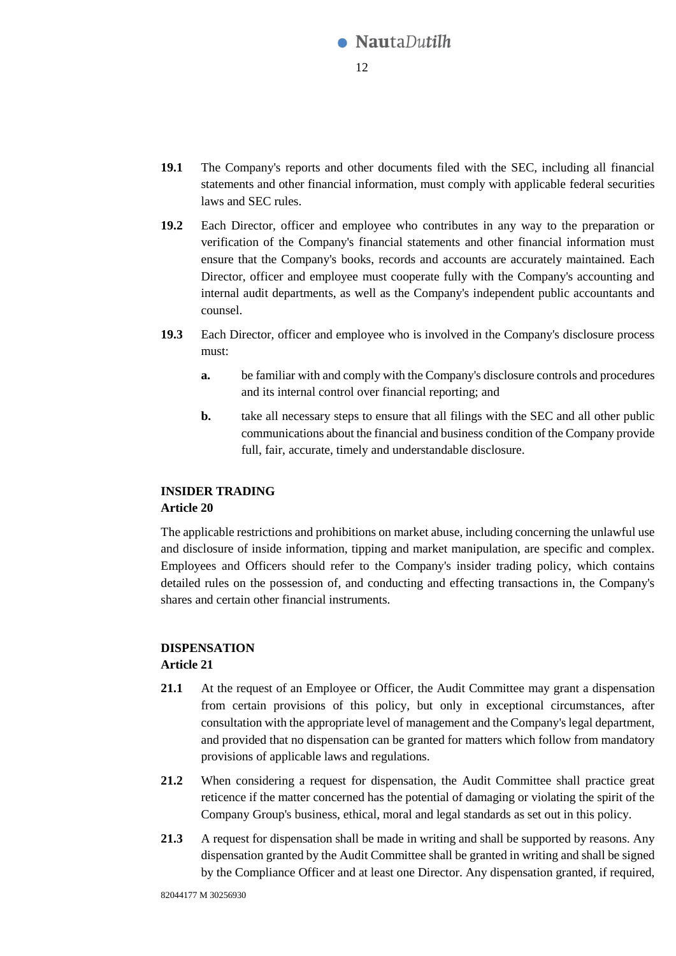

- **19.1** The Company's reports and other documents filed with the SEC, including all financial statements and other financial information, must comply with applicable federal securities laws and SEC rules.
- **19.2** Each Director, officer and employee who contributes in any way to the preparation or verification of the Company's financial statements and other financial information must ensure that the Company's books, records and accounts are accurately maintained. Each Director, officer and employee must cooperate fully with the Company's accounting and internal audit departments, as well as the Company's independent public accountants and counsel.
- **19.3** Each Director, officer and employee who is involved in the Company's disclosure process must:
	- **a.** be familiar with and comply with the Company's disclosure controls and procedures and its internal control over financial reporting; and
	- **b.** take all necessary steps to ensure that all filings with the SEC and all other public communications about the financial and business condition of the Company provide full, fair, accurate, timely and understandable disclosure.

# **INSIDER TRADING**

# **Article 20**

The applicable restrictions and prohibitions on market abuse, including concerning the unlawful use and disclosure of inside information, tipping and market manipulation, are specific and complex. Employees and Officers should refer to the Company's insider trading policy, which contains detailed rules on the possession of, and conducting and effecting transactions in, the Company's shares and certain other financial instruments.

# <span id="page-11-0"></span>**DISPENSATION Article 21**

- 21.1 At the request of an Employee or Officer, the Audit Committee may grant a dispensation from certain provisions of this policy, but only in exceptional circumstances, after consultation with the appropriate level of management and the Company's legal department, and provided that no dispensation can be granted for matters which follow from mandatory provisions of applicable laws and regulations.
- **21.2** When considering a request for dispensation, the Audit Committee shall practice great reticence if the matter concerned has the potential of damaging or violating the spirit of the Company Group's business, ethical, moral and legal standards as set out in this policy.
- **21.3** A request for dispensation shall be made in writing and shall be supported by reasons. Any dispensation granted by the Audit Committee shall be granted in writing and shall be signed by the Compliance Officer and at least one Director. Any dispensation granted, if required,